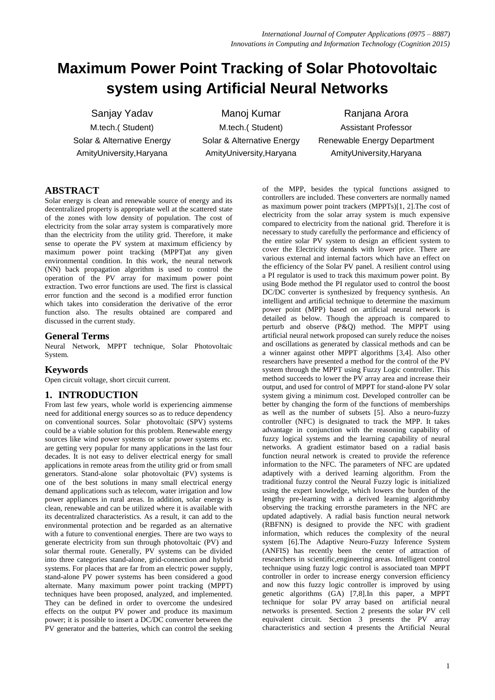# **Maximum Power Point Tracking of Solar Photovoltaic system using Artificial Neural Networks**

Sanjay Yadav **Manoj Kumar** Ranjana Arora M.tech.( Student) M.tech.( Student) Assistant Professor

Solar & Alternative Energy Solar & Alternative Energy Renewable Energy Department AmityUniversity,Haryana AmityUniversity,Haryana AmityUniversity,Haryana

# **ABSTRACT**

Solar energy is clean and renewable source of energy and its decentralized property is appropriate well at the scattered state of the zones with low density of population. The cost of electricity from the solar array system is comparatively more than the electricity from the utility grid. Therefore, it make sense to operate the PV system at maximum efficiency by maximum power point tracking (MPPT)at any given environmental condition. In this work, the neural network (NN) back propagation algorithm is used to control the operation of the PV array for maximum power point extraction. Two error functions are used. The first is classical error function and the second is a modified error function which takes into consideration the derivative of the error function also. The results obtained are compared and discussed in the current study.

#### **General Terms**

Neural Network, MPPT technique, Solar Photovoltaic System.

# **Keywords**

Open circuit voltage, short circuit current.

# **1. INTRODUCTION**

From last few years, whole world is experiencing aimmense need for additional energy sources so as to reduce dependency on conventional sources. Solar photovoltaic (SPV) systems could be a viable solution for this problem. Renewable energy sources like wind power systems or solar power systems etc. are getting very popular for many applications in the last four decades. It is not easy to deliver electrical energy for small applications in remote areas from the utility grid or from small generators. Stand-alone solar photovoltaic (PV) systems is one of the best solutions in many small electrical energy demand applications such as telecom, water irrigation and low power appliances in rural areas. In addition, solar energy is clean, renewable and can be utilized where it is available with its decentralized characteristics. As a result, it can add to the environmental protection and be regarded as an alternative with a future to conventional energies. There are two ways to generate electricity from sun through photovoltaic (PV) and solar thermal route. Generally, PV systems can be divided into three categories stand-alone, grid-connection and hybrid systems. For places that are far from an electric power supply, stand-alone PV power systems has been considered a good alternate. Many maximum power point tracking (MPPT) techniques have been proposed, analyzed, and implemented. They can be defined in order to overcome the undesired effects on the output PV power and produce its maximum power; it is possible to insert a DC/DC converter between the PV generator and the batteries, which can control the seeking

of the MPP, besides the typical functions assigned to controllers are included. These converters are normally named as maximum power point trackers (MPPTs)[1, 2].The cost of electricity from the solar array system is much expensive compared to electricity from the national grid. Therefore it is necessary to study carefully the performance and efficiency of the entire solar PV system to design an efficient system to cover the Electricity demands with lower price. There are various external and internal factors which have an effect on the efficiency of the Solar PV panel. A resilient control using a PI regulator is used to track this maximum power point. By using Bode method the PI regulator used to control the boost DC/DC converter is synthesized by frequency synthesis. An intelligent and artificial technique to determine the maximum power point (MPP) based on artificial neural network is detailed as below. Though the approach is compared to perturb and observe (P&Q) method. The MPPT using artificial neural network proposed can surely reduce the noises and oscillations as generated by classical methods and can be a winner against other MPPT algorithms [3,4]. Also other researchers have presented a method for the control of the PV system through the MPPT using Fuzzy Logic controller. This method succeeds to lower the PV array area and increase their output, and used for control of MPPT for stand-alone PV solar system giving a minimum cost. Developed controller can be better by changing the form of the functions of memberships as well as the number of subsets [5]. Also a neuro-fuzzy controller (NFC) is designated to track the MPP. It takes advantage in conjunction with the reasoning capability of fuzzy logical systems and the learning capability of neural networks. A gradient estimator based on a radial basis function neural network is created to provide the reference information to the NFC. The parameters of NFC are updated adaptively with a derived learning algorithm. From the traditional fuzzy control the Neural Fuzzy logic is initialized using the expert knowledge, which lowers the burden of the lengthy pre-learning with a derived learning algorithmby observing the tracking errorsthe parameters in the NFC are updated adaptively. A radial basis function neural network (RBFNN) is designed to provide the NFC with gradient information, which reduces the complexity of the neural system [6].The Adaptive Neuro-Fuzzy Inference System (ANFIS) has recently been the center of attraction of researchers in scientific,engineering areas. Intelligent control technique using fuzzy logic control is associated toan MPPT controller in order to increase energy conversion efficiency and now this fuzzy logic controller is improved by using genetic algorithms (GA) [7,8].In this paper, a MPPT technique for solar PV array based on artificial neural networks is presented. Section 2 presents the solar PV cell equivalent circuit. Section 3 presents the PV array characteristics and section 4 presents the Artificial Neural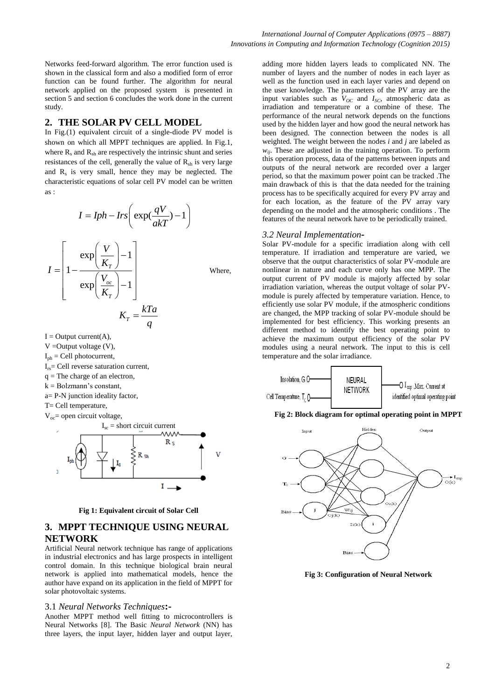Networks feed-forward algorithm. The error function used is shown in the classical form and also a modified form of error function can be found further. The algorithm for neural network applied on the proposed system is presented in section 5 and section 6 concludes the work done in the current study.

#### **2. THE SOLAR PV CELL MODEL**

In Fig.(1) equivalent circuit of a single-diode PV model is shown on which all MPPT techniques are applied. In Fig.1, where  $R_s$  and  $R_{sh}$  are respectively the intrinsic shunt and series resistances of the cell, generally the value of  $R_{sh}$  is very large and  $R_s$  is very small, hence they may be neglected. The characteristic equations of solar cell PV model can be written as :

$$
I = Iph - Irs \left( \exp(\frac{qV}{akT}) - 1 \right)
$$

$$
I = \left[ 1 - \frac{\exp\left(\frac{V}{K_T}\right) - 1}{\exp\left(\frac{V_{oc}}{K_T}\right) - 1} \right]
$$
Where,
$$
K_T = \frac{kTa}{q}
$$

 $I = Output$  current(A),  $V =$ Output voltage  $(V)$ ,

- $I_{ph} = Cell photocurrent,$
- $I_{rs}$ = Cell reverse saturation current,
- $q =$ The charge of an electron,
- $k = Bolzmann's constant$ ,
- a= P-N junction ideality factor,
- T= Cell temperature,
- $V_{oc}$ = open circuit voltage,





## **3. MPPT TECHNIQUE USING NEURAL NETWORK**

Artificial Neural network technique has range of applications in industrial electronics and has large prospects in intelligent control domain. In this technique biological brain neural network is applied into mathematical models, hence the author have expand on its application in the field of MPPT for solar photovoltaic systems.

#### 3.1 *Neural Networks Techniques***:-**

Another MPPT method well fitting to microcontrollers is Neural Networks [8]. The Basic *Neural Network* (NN) has three layers, the input layer, hidden layer and output layer,

adding more hidden layers leads to complicated NN. The number of layers and the number of nodes in each layer as well as the function used in each layer varies and depend on the user knowledge. The parameters of the PV array are the input variables such as  $V_{OC}$  and  $I_{SC}$ , atmospheric data as irradiation and temperature or a combine of these. The performance of the neural network depends on the functions used by the hidden layer and how good the neural network has been designed. The connection between the nodes is all weighted. The weight between the nodes *i* and *j* are labeled as  $w_{ii}$ . These are adjusted in the training operation. To perform this operation process, data of the patterns between inputs and outputs of the neural network are recorded over a larger period, so that the maximum power point can be tracked .The main drawback of this is that the data needed for the training process has to be specifically acquired for every PV array and for each location, as the feature of the PV array vary depending on the model and the atmospheric conditions . The features of the neural network have to be periodically trained.

#### *3.2 Neural Implementation***-**

Solar PV-module for a specific irradiation along with cell temperature. If irradiation and temperature are varied, we observe that the output characteristics of solar PV-module are nonlinear in nature and each curve only has one MPP. The output current of PV module is majorly affected by solar irradiation variation, whereas the output voltage of solar PVmodule is purely affected by temperature variation. Hence, to efficiently use solar PV module, if the atmospheric conditions are changed, the MPP tracking of solar PV-module should be implemented for best efficiency. This working presents an different method to identify the best operating point to achieve the maximum output efficiency of the solar PV modules using a neural network. The input to this is cell temperature and the solar irradiance.



**Fig 2: Block diagram for optimal operating point in MPPT**



**Fig 3: Configuration of Neural Network**